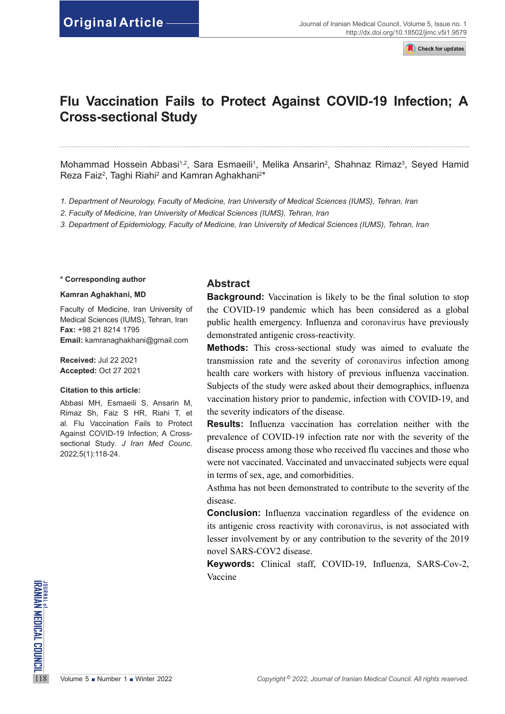**Check for updates** 

# **Flu Vaccination Fails to Protect Against COVID-19 Infection; A Cross-sectional Study**

Mohammad Hossein Abbasi<sup>1,2</sup>, Sara Esmaeili<sup>1</sup>, Melika Ansarin<sup>2</sup>, Shahnaz Rimaz<sup>3</sup>, Seyed Hamid Reza Faiz<sup>2</sup>, Taghi Riahi<sup>2</sup> and Kamran Aghakhani<sup>2\*</sup>

*1. Department of Neurology, Faculty of Medicine, Iran University of Medical Sciences (IUMS), Tehran, Iran*

*2. Faculty of Medicine, Iran University of Medical Sciences (IUMS), Tehran, Iran*

*3. Department of Epidemiology, Faculty of Medicine, Iran University of Medical Sciences (IUMS), Tehran, Iran*

#### **\* Corresponding author**

#### **Kamran Aghakhani, MD**

Faculty of Medicine, Iran University of Medical Sciences (IUMS), Tehran, Iran **Fax:** +98 21 8214 1795 **Email:** [kamranaghakhani@gmail.com](mailto:kamranaghakhani@gmail.com)

**Received:** Jul 22 2021 **Accepted:** Oct 27 2021

#### **Citation to this article:**

Abbasi MH, Esmaeili S, Ansarin M, Rimaz Sh, Faiz S HR, Riahi T, et al. Flu Vaccination Fails to Protect Against COVID-19 Infection; A Crosssectional Study*. J Iran Med Counc*. 2022;5(1):118-24.

#### **Abstract**

**Background:** Vaccination is likely to be the final solution to stop the COVID-19 pandemic which has been considered as a global public health emergency. Influenza and coronavirus have previously demonstrated antigenic cross-reactivity.

**Methods:** This cross-sectional study was aimed to evaluate the transmission rate and the severity of coronavirus infection among health care workers with history of previous influenza vaccination. Subjects of the study were asked about their demographics, influenza vaccination history prior to pandemic, infection with COVID-19, and the severity indicators of the disease.

**Results:** Influenza vaccination has correlation neither with the prevalence of COVID-19 infection rate nor with the severity of the disease process among those who received flu vaccines and those who were not vaccinated. Vaccinated and unvaccinated subjects were equal in terms of sex, age, and comorbidities.

Asthma has not been demonstrated to contribute to the severity of the disease.

**Conclusion:** Influenza vaccination regardless of the evidence on its antigenic cross reactivity with coronavirus, is not associated with lesser involvement by or any contribution to the severity of the 2019 novel SARS-COV2 disease.

**Keywords:** Clinical staff, COVID-19, Influenza, SARS-Cov-2, Vaccine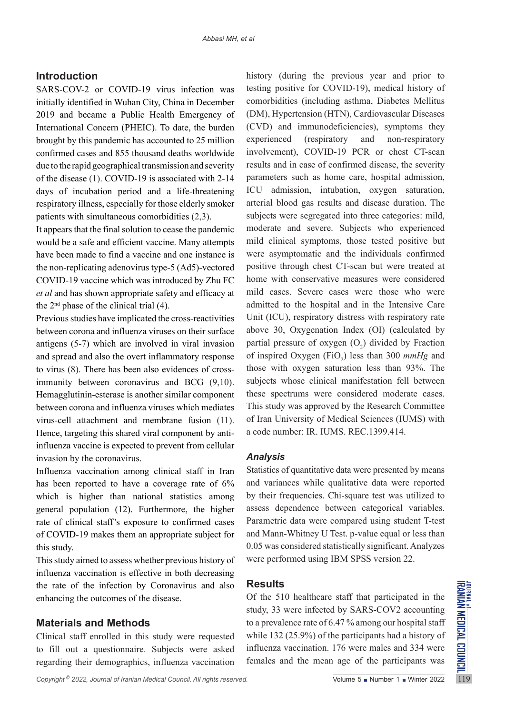## **Introduction**

SARS-COV-2 or COVID-19 virus infection was initially identified in Wuhan City, China in December 2019 and became a Public Health Emergency of International Concern (PHEIC). To date, the burden brought by this pandemic has accounted to 25 million confirmed cases and 855 thousand deaths worldwide due to the rapid geographical transmission and severity of the disease (1). COVID-19 is associated with 2-14 days of incubation period and a life-threatening respiratory illness, especially for those elderly smoker patients with simultaneous comorbidities (2,3).

It appears that the final solution to cease the pandemic would be a safe and efficient vaccine. Many attempts have been made to find a vaccine and one instance is the non-replicating adenovirus type-5 (Ad5)-vectored COVID-19 vaccine which was introduced by Zhu FC *et al* and has shown appropriate safety and efficacy at the  $2<sup>nd</sup>$  phase of the clinical trial (4).

Previous studies have implicated the cross-reactivities between corona and influenza viruses on their surface antigens (5-7) which are involved in viral invasion and spread and also the overt inflammatory response to virus (8). There has been also evidences of crossimmunity between coronavirus and BCG (9,10). Hemagglutinin-esterase is another similar component between corona and influenza viruses which mediates virus-cell attachment and membrane fusion (11). Hence, targeting this shared viral component by antiinfluenza vaccine is expected to prevent from cellular invasion by the coronavirus.

Influenza vaccination among clinical staff in Iran has been reported to have a coverage rate of 6% which is higher than national statistics among general population (12). Furthermore, the higher rate of clinical staff's exposure to confirmed cases of COVID-19 makes them an appropriate subject for this study.

This study aimed to assess whether previous history of influenza vaccination is effective in both decreasing the rate of the infection by Coronavirus and also enhancing the outcomes of the disease.

# **Materials and Methods**

Clinical staff enrolled in this study were requested to fill out a questionnaire. Subjects were asked regarding their demographics, influenza vaccination history (during the previous year and prior to testing positive for COVID-19), medical history of comorbidities (including asthma, Diabetes Mellitus (DM), Hypertension (HTN), Cardiovascular Diseases (CVD) and immunodeficiencies), symptoms they experienced (respiratory and non-respiratory involvement), COVID-19 PCR or chest CT-scan results and in case of confirmed disease, the severity parameters such as home care, hospital admission, ICU admission, intubation, oxygen saturation, arterial blood gas results and disease duration. The subjects were segregated into three categories: mild, moderate and severe. Subjects who experienced mild clinical symptoms, those tested positive but were asymptomatic and the individuals confirmed positive through chest CT-scan but were treated at home with conservative measures were considered mild cases. Severe cases were those who were admitted to the hospital and in the Intensive Care Unit (ICU), respiratory distress with respiratory rate above 30, Oxygenation Index (OI) (calculated by partial pressure of oxygen  $(O_2)$  divided by Fraction of inspired Oxygen (FiO<sub>2</sub>) less than 300 *mmHg* and those with oxygen saturation less than 93%. The subjects whose clinical manifestation fell between these spectrums were considered moderate cases. This study was approved by the Research Committee of Iran University of Medical Sciences (IUMS) with a code number: IR. IUMS. REC.1399.414.

#### *Analysis*

Statistics of quantitative data were presented by means and variances while qualitative data were reported by their frequencies. Chi-square test was utilized to assess dependence between categorical variables. Parametric data were compared using student T-test and Mann-Whitney U Test. p-value equal or less than 0.05 was considered statistically significant. Analyzes were performed using IBM SPSS version 22.

# **Results**

Of the 510 healthcare staff that participated in the study, 33 were infected by SARS-COV2 accounting to a prevalence rate of 6.47 % among our hospital staff while 132 (25.9%) of the participants had a history of influenza vaccination. 176 were males and 334 were females and the mean age of the participants was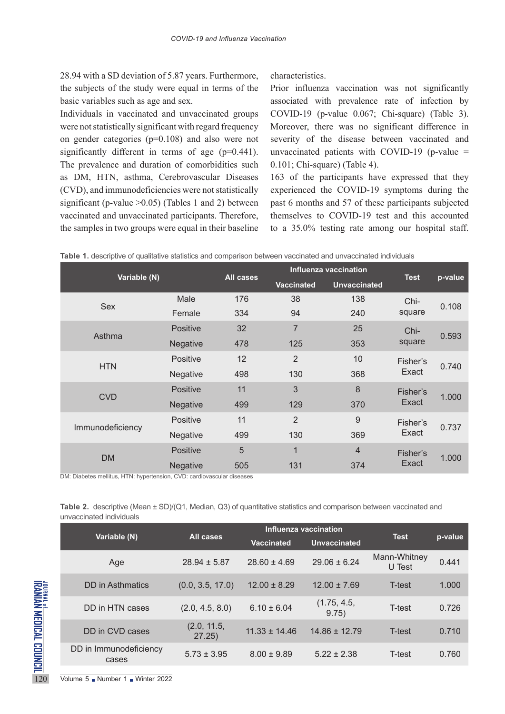28.94 with a SD deviation of 5.87 years. Furthermore, the subjects of the study were equal in terms of the basic variables such as age and sex.

Individuals in vaccinated and unvaccinated groups were not statistically significant with regard frequency on gender categories (p=0.108) and also were not significantly different in terms of age (p=0.441). The prevalence and duration of comorbidities such as DM, HTN, asthma, Cerebrovascular Diseases (CVD), and immunodeficiencies were not statistically significant (p-value >0.05) (Tables 1 and 2) between vaccinated and unvaccinated participants. Therefore, the samples in two groups were equal in their baseline

characteristics.

Prior influenza vaccination was not significantly associated with prevalence rate of infection by COVID-19 (p-value 0.067; Chi-square) (Table 3). Moreover, there was no significant difference in severity of the disease between vaccinated and unvaccinated patients with COVID-19 (p-value  $=$ 0.101; Chi-square) (Table 4).

163 of the participants have expressed that they experienced the COVID-19 symptoms during the past 6 months and 57 of these participants subjected themselves to COVID-19 test and this accounted to a 35.0% testing rate among our hospital staff.

| Variable (N)     |                 | All cases | <b>Influenza vaccination</b> | <b>Test</b>         | p-value  |       |
|------------------|-----------------|-----------|------------------------------|---------------------|----------|-------|
|                  |                 |           | <b>Vaccinated</b>            | <b>Unvaccinated</b> |          |       |
|                  | Male            | 176       | 38                           | 138                 | Chi-     | 0.108 |
| Sex              | Female          | 334       | 94                           | 240                 | square   |       |
| Asthma           | <b>Positive</b> | 32        | $\overline{7}$               | 25                  | Chi-     |       |
|                  | Negative        | 478       | 125                          | 353                 | square   | 0.593 |
|                  | <b>Positive</b> | 12        | 2                            | 10                  | Fisher's |       |
| <b>HTN</b>       | Negative        | 498       | 130                          | 368                 | Exact    | 0.740 |
|                  | <b>Positive</b> | 11        | 3                            | 8                   | Fisher's | 1.000 |
| <b>CVD</b>       | Negative        | 499       | 129                          | 370                 | Exact    |       |
| Immunodeficiency | <b>Positive</b> | 11        | $\overline{2}$               | 9                   | Fisher's | 0.737 |
|                  | Negative        | 499       | 130                          | 369                 | Exact    |       |
| <b>DM</b>        | <b>Positive</b> | 5         | $\overline{1}$               | $\overline{4}$      | Fisher's |       |
|                  | Negative        | 505       | 131                          | 374                 | Exact    | 1.000 |

|  |  |  |  |  | <b>Table 1.</b> descriptive of qualitative statistics and comparison between vaccinated and unvaccinated individuals |
|--|--|--|--|--|----------------------------------------------------------------------------------------------------------------------|
|--|--|--|--|--|----------------------------------------------------------------------------------------------------------------------|

DM: Diabetes mellitus, HTN: hypertension, CVD: cardiovascular diseases

**Table 2.** descriptive (Mean ± SD)/(Q1, Median, Q3) of quantitative statistics and comparison between vaccinated and unvaccinated individuals

|                                                     |                                                   |                       |                   | Influenza vaccination |                        |         |
|-----------------------------------------------------|---------------------------------------------------|-----------------------|-------------------|-----------------------|------------------------|---------|
|                                                     | Variable (N)                                      | All cases             | <b>Vaccinated</b> | <b>Unvaccinated</b>   | <b>Test</b>            | p-value |
|                                                     | Age                                               | $28.94 \pm 5.87$      | $28.60 \pm 4.69$  | $29.06 \pm 6.24$      | Mann-Whitney<br>U Test | 0.441   |
|                                                     | <b>DD</b> in Asthmatics                           | (0.0, 3.5, 17.0)      | $12.00 \pm 8.29$  | $12.00 \pm 7.69$      | T-test                 | 1.000   |
|                                                     | DD in HTN cases                                   | (2.0, 4.5, 8.0)       | $6.10 \pm 6.04$   | (1.75, 4.5,<br>9.75)  | T-test                 | 0.726   |
|                                                     | DD in CVD cases                                   | (2.0, 11.5,<br>27.25) | $11.33 \pm 14.46$ | $14.86 \pm 12.79$     | T-test                 | 0.710   |
| JOURNAL OF DIEAL COUNCIL<br>Iranian medical council | DD in Immunodeficiency<br>cases                   | $5.73 \pm 3.95$       | $8.00 \pm 9.89$   | $5.22 \pm 2.38$       | T-test                 | 0.760   |
| 120                                                 | Volume $5 \bullet$ Number 1 $\bullet$ Winter 2022 |                       |                   |                       |                        |         |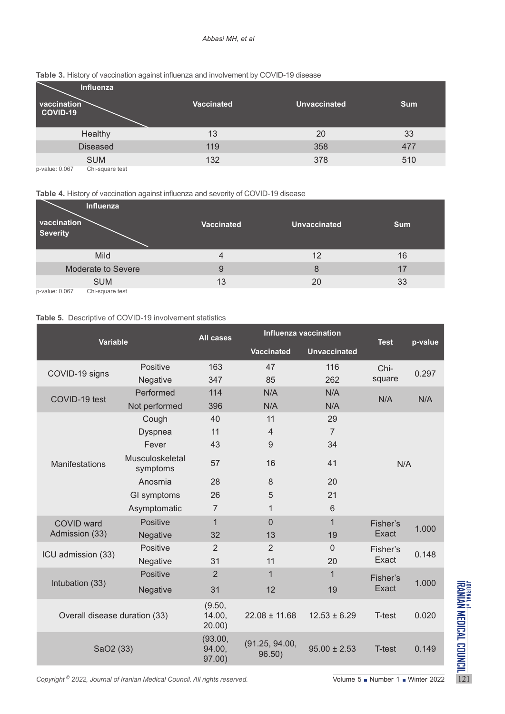#### *Abbasi MH, et al*

| vaccination<br>COVID-19 | Influenza       | <b>Vaccinated</b> | <b>Unvaccinated</b> | <b>Sum</b> |
|-------------------------|-----------------|-------------------|---------------------|------------|
|                         | Healthy         | 13                | 20                  | 33         |
|                         | <b>Diseased</b> | 119               | 358                 | 477        |
|                         | <b>SUM</b>      | 132               | 378                 | 510        |
| p-value: 0.067          | Chi-square test |                   |                     |            |

#### **Table 3.** History of vaccination against influenza and involvement by COVID-19 disease

#### **Table 4.** History of vaccination against influenza and severity of COVID-19 disease

| Influenza<br>vaccination<br><b>Severity</b> | <b>Vaccinated</b> | <b>Unvaccinated</b> | <b>Sum</b> |
|---------------------------------------------|-------------------|---------------------|------------|
| Mild                                        | 4                 | 12                  | 16         |
| Moderate to Severe                          | 9                 | 8                   | 17         |
| <b>SUM</b>                                  | 13                | 20                  | 33         |
| p-value: 0.067<br>Chi-square test           |                   |                     |            |

## **Table 5.** Descriptive of COVID-19 involvement statistics

| <b>Variable</b>                                                                                                                                                                                                 |                             | <b>Influenza vaccination</b><br><b>All cases</b> |                          |                     | <b>Test</b>       |         |
|-----------------------------------------------------------------------------------------------------------------------------------------------------------------------------------------------------------------|-----------------------------|--------------------------------------------------|--------------------------|---------------------|-------------------|---------|
|                                                                                                                                                                                                                 |                             |                                                  | <b>Vaccinated</b>        | <b>Unvaccinated</b> |                   | p-value |
| COVID-19 signs                                                                                                                                                                                                  | Positive                    | 163                                              | 47                       | 116                 | Chi-              | 0.297   |
|                                                                                                                                                                                                                 | Negative                    | 347                                              | 85                       | 262                 | square            |         |
| COVID-19 test                                                                                                                                                                                                   | Performed                   | 114                                              | N/A                      | N/A                 | N/A               | N/A     |
|                                                                                                                                                                                                                 | Not performed               | 396                                              | N/A                      | N/A                 |                   |         |
|                                                                                                                                                                                                                 | Cough                       | 40                                               | 11                       | 29                  |                   |         |
|                                                                                                                                                                                                                 | <b>Dyspnea</b>              | 11                                               | $\overline{4}$           | $\overline{7}$      |                   |         |
|                                                                                                                                                                                                                 | Fever                       | 43                                               | 9                        | 34                  |                   |         |
| <b>Manifestations</b>                                                                                                                                                                                           | Musculoskeletal<br>symptoms | 57                                               | 16                       | 41                  | N/A               |         |
|                                                                                                                                                                                                                 | Anosmia                     | 28                                               | 8                        | 20                  |                   |         |
|                                                                                                                                                                                                                 | GI symptoms                 | 26                                               | 5                        | 21                  |                   |         |
|                                                                                                                                                                                                                 | Asymptomatic                | $\overline{7}$                                   | $\mathbf{1}$             | 6                   |                   |         |
| <b>COVID ward</b>                                                                                                                                                                                               | Positive                    | $\mathbf 1$                                      | $\overline{0}$           | $\mathbf{1}$        | Fisher's          | 1.000   |
| Admission (33)                                                                                                                                                                                                  | Negative                    | 32                                               | 13                       | 19                  | Exact             |         |
|                                                                                                                                                                                                                 | Positive                    | $\overline{2}$                                   | $\overline{2}$           | $\Omega$            | Fisher's<br>Exact | 0.148   |
| ICU admission (33)                                                                                                                                                                                              | Negative                    | 31                                               | 11                       | 20                  |                   |         |
|                                                                                                                                                                                                                 | Positive                    | $\overline{2}$                                   | $\mathbf 1$              | $\mathbf{1}$        | Fisher's<br>Exact | 1.000   |
| Intubation (33)                                                                                                                                                                                                 | Negative                    | 31                                               | 12                       | 19                  |                   |         |
| Overall disease duration (33)                                                                                                                                                                                   |                             | (9.50,<br>14.00,<br>20.00)                       | $22.08 \pm 11.68$        | $12.53 \pm 6.29$    | T-test            | 0.020   |
| SaO2 (33)                                                                                                                                                                                                       |                             | (93.00,<br>94.00,<br>97.00)                      | (91.25, 94.00,<br>96.50) | $95.00 \pm 2.53$    | T-test            | 0.149   |
| <b>JONAL MEDICAL COUNCIL</b><br>IRANIAN MEDICAL COUNCIL<br>Copyright <sup>©</sup> 2022, Journal of Iranian Medical Council. All rights reserved.<br>Volume $5 \blacksquare$ Number $1 \blacksquare$ Winter 2022 |                             |                                                  |                          |                     |                   |         |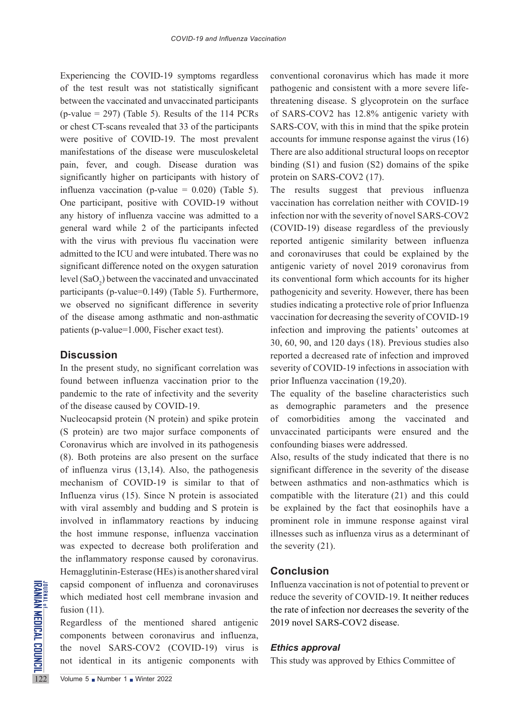Experiencing the COVID-19 symptoms regardless of the test result was not statistically significant between the vaccinated and unvaccinated participants  $(p$ -value = 297) (Table 5). Results of the 114 PCRs or chest CT-scans revealed that 33 of the participants were positive of COVID-19. The most prevalent manifestations of the disease were musculoskeletal pain, fever, and cough. Disease duration was significantly higher on participants with history of influenza vaccination (p-value =  $0.020$ ) (Table 5). One participant, positive with COVID-19 without any history of influenza vaccine was admitted to a general ward while 2 of the participants infected with the virus with previous flu vaccination were admitted to the ICU and were intubated. There was no significant difference noted on the oxygen saturation level  $(SaO<sub>2</sub>)$  between the vaccinated and unvaccinated participants (p-value=0.149) (Table 5). Furthermore, we observed no significant difference in severity of the disease among asthmatic and non-asthmatic patients (p-value=1.000, Fischer exact test).

## **Discussion**

In the present study, no significant correlation was found between influenza vaccination prior to the pandemic to the rate of infectivity and the severity of the disease caused by COVID-19.

Nucleocapsid protein (N protein) and spike protein (S protein) are two major surface components of Coronavirus which are involved in its pathogenesis (8). Both proteins are also present on the surface of influenza virus (13,14). Also, the pathogenesis mechanism of COVID-19 is similar to that of Influenza virus (15). Since N protein is associated with viral assembly and budding and S protein is involved in inflammatory reactions by inducing the host immune response, influenza vaccination was expected to decrease both proliferation and the inflammatory response caused by coronavirus. Hemagglutinin-Esterase (HEs) is another shared viral capsid component of influenza and coronaviruses which mediated host cell membrane invasion and fusion (11).

EXECUTE CONSIDER THE CONSIDERATION CONSIDER THE CONSIDER THE CONSIDERATION CONSIDER THE CONSIDER THE CONSIDER THE CONSIDER THE VISITED THAT WE SARK S-COV2 ((not identical in its antiger volume 5 Number 1 Number 1 Number 20 Regardless of the mentioned shared antigenic components between coronavirus and influenza, the novel SARS-COV2 (COVID-19) virus is not identical in its antigenic components with

conventional coronavirus which has made it more pathogenic and consistent with a more severe lifethreatening disease. S glycoprotein on the surface of SARS-COV2 has 12.8% antigenic variety with SARS-COV, with this in mind that the spike protein accounts for immune response against the virus (16) There are also additional structural loops on receptor binding (S1) and fusion (S2) domains of the spike protein on SARS-COV2 (17).

The results suggest that previous influenza vaccination has correlation neither with COVID-19 infection nor with the severity of novel SARS-COV2 (COVID-19) disease regardless of the previously reported antigenic similarity between influenza and coronaviruses that could be explained by the antigenic variety of novel 2019 coronavirus from its conventional form which accounts for its higher pathogenicity and severity. However, there has been studies indicating a protective role of prior Influenza vaccination for decreasing the severity of COVID-19 infection and improving the patients' outcomes at 30, 60, 90, and 120 days (18). Previous studies also reported a decreased rate of infection and improved severity of COVID-19 infections in association with prior Influenza vaccination (19,20).

The equality of the baseline characteristics such as demographic parameters and the presence of comorbidities among the vaccinated and unvaccinated participants were ensured and the confounding biases were addressed.

Also, results of the study indicated that there is no significant difference in the severity of the disease between asthmatics and non-asthmatics which is compatible with the literature (21) and this could be explained by the fact that eosinophils have a prominent role in immune response against viral illnesses such as influenza virus as a determinant of the severity (21).

## **Conclusion**

Influenza vaccination is not of potential to prevent or reduce the severity of COVID-19. It neither reduces the rate of infection nor decreases the severity of the 2019 novel SARS-COV2 disease.

#### *Ethics approval*

This study was approved by Ethics Committee of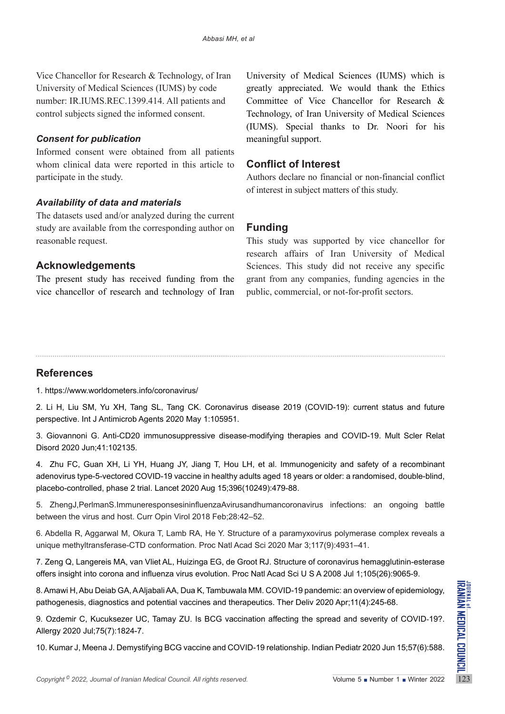Vice Chancellor for Research & Technology, of Iran University of Medical Sciences (IUMS) by code number: IR.IUMS.REC.1399.414. All patients and control subjects signed the informed consent.

## *Consent for publication*

Informed consent were obtained from all patients whom clinical data were reported in this article to participate in the study.

# *Availability of data and materials*

The datasets used and/or analyzed during the current study are available from the corresponding author on reasonable request.

# **Acknowledgements**

The present study has received funding from the vice chancellor of research and technology of Iran University of Medical Sciences (IUMS) which is greatly appreciated. We would thank the Ethics Committee of Vice Chancellor for Research & Technology, of Iran University of Medical Sciences (IUMS). Special thanks to Dr. Noori for his meaningful support.

# **Conflict of Interest**

Authors declare no financial or non-financial conflict of interest in subject matters of this study.

# **Funding**

This study was supported by vice chancellor for research affairs of Iran University of Medical Sciences. This study did not receive any specific grant from any companies, funding agencies in the public, commercial, or not-for-profit sectors.

# **References**

1. https://www.worldometers.info/coronavirus/

2. Li H, Liu SM, Yu XH, Tang SL, Tang CK. Coronavirus disease 2019 (COVID-19): current status and future perspective. Int J Antimicrob Agents 2020 May 1:105951.

3. Giovannoni G. Anti-CD20 immunosuppressive disease-modifying therapies and COVID-19. Mult Scler Relat Disord 2020 Jun;41:102135.

4. Zhu FC, Guan XH, Li YH, Huang JY, Jiang T, Hou LH, et al. Immunogenicity and safety of a recombinant adenovirus type-5-vectored COVID-19 vaccine in healthy adults aged 18 years or older: a randomised, double-blind, placebo-controlled, phase 2 trial. Lancet 2020 Aug 15;396(10249):479-88.

5. ZhengJ,PerlmanS.ImmuneresponsesininfluenzaAvirusandhumancoronavirus infections: an ongoing battle between the virus and host. Curr Opin Virol 2018 Feb;28:42–52.

6. Abdella R, Aggarwal M, Okura T, Lamb RA, He Y. Structure of a paramyxovirus polymerase complex reveals a unique methyltransferase-CTD conformation. Proc Natl Acad Sci 2020 Mar 3;117(9):4931–41.

7. Zeng Q, Langereis MA, van Vliet AL, Huizinga EG, de Groot RJ. Structure of coronavirus hemagglutinin-esterase offers insight into corona and influenza virus evolution. Proc Natl Acad Sci U S A 2008 Jul 1;105(26):9065-9.

8. Amawi H, Abu Deiab GA, A Aljabali AA, Dua K, Tambuwala MM. COVID-19 pandemic: an overview of epidemiology, pathogenesis, diagnostics and potential vaccines and therapeutics. Ther Deliv 2020 Apr;11(4):245-68.

*Copyright® 2022, Journal of Iranian Medical Council. All rights reserved.* Volume 5 ■ Number 1 ■ Winter 2022, Journal of *Iranian Medical Council. All rights reserved.* Weights a Number 1 Winter 2022, 2022, Journal of *I* 9. Ozdemir C, Kucuksezer UC, Tamay ZU. Is BCG vaccination affecting the spread and severity of COVID-19?. Allergy 2020 Jul;75(7):1824-7.

10. Kumar J, Meena J. Demystifying BCG vaccine and COVID-19 relationship. Indian Pediatr 2020 Jun 15;57(6):588.